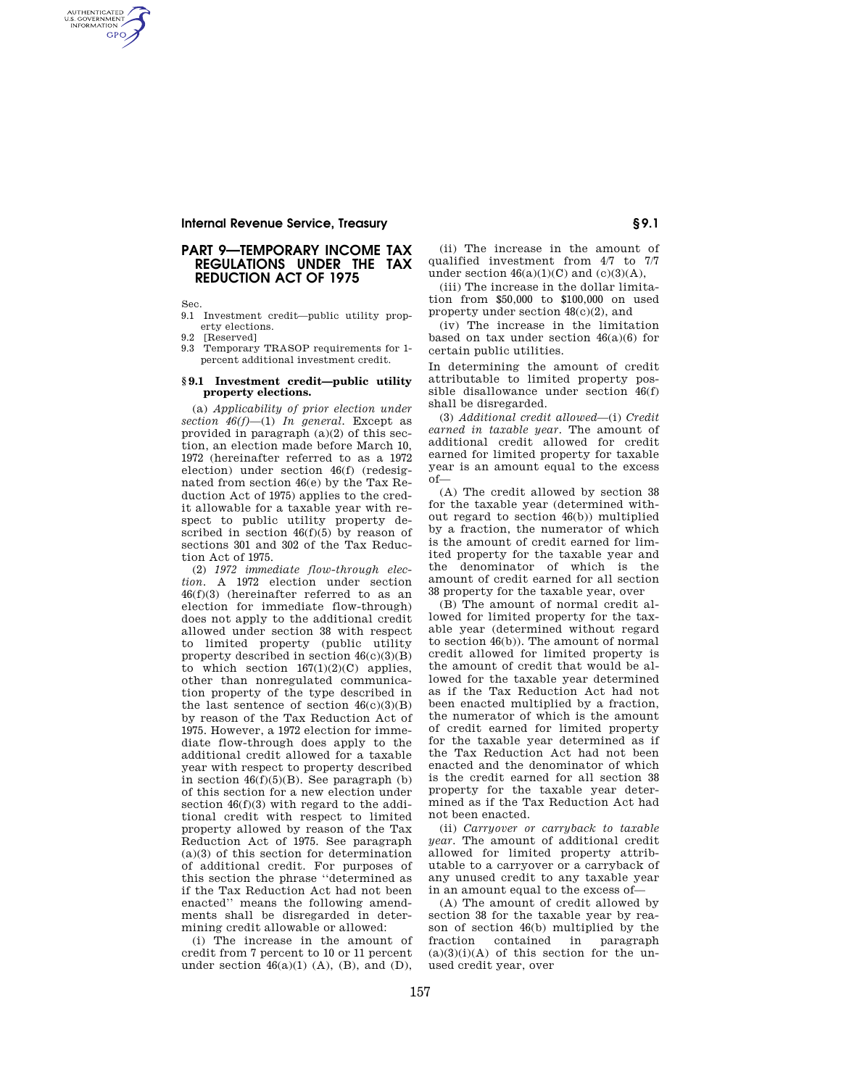## **Internal Revenue Service, Treasury § 9.1**

## **PART 9—TEMPORARY INCOME TAX REGULATIONS UNDER THE TAX REDUCTION ACT OF 1975**

Sec.

AUTHENTICATED<br>U.S. GOVERNMENT<br>INFORMATION **GPO** 

> 9.1 Investment credit—public utility property elections.

9.2 [Reserved]

9.3 Temporary TRASOP requirements for 1 percent additional investment credit.

#### **§ 9.1 Investment credit—public utility property elections.**

(a) *Applicability of prior election under section 46(f)*—(1) *In general.* Except as provided in paragraph (a)(2) of this section, an election made before March 10, 1972 (hereinafter referred to as a 1972 election) under section 46(f) (redesignated from section 46(e) by the Tax Reduction Act of 1975) applies to the credit allowable for a taxable year with respect to public utility property described in section  $46(f)(5)$  by reason of sections 301 and 302 of the Tax Reduction Act of 1975.

(2) *1972 immediate flow-through election.* A 1972 election under section 46(f)(3) (hereinafter referred to as an election for immediate flow-through) does not apply to the additional credit allowed under section 38 with respect to limited property (public utility property described in section  $46(c)(3)(B)$ to which section  $167(1)(2)(C)$  applies, other than nonregulated communication property of the type described in the last sentence of section  $46(c)(3)(B)$ by reason of the Tax Reduction Act of 1975. However, a 1972 election for immediate flow-through does apply to the additional credit allowed for a taxable year with respect to property described in section  $46(f)(5)(B)$ . See paragraph (b) of this section for a new election under section  $46(f)(3)$  with regard to the additional credit with respect to limited property allowed by reason of the Tax Reduction Act of 1975. See paragraph (a)(3) of this section for determination of additional credit. For purposes of this section the phrase ''determined as if the Tax Reduction Act had not been enacted'' means the following amendments shall be disregarded in determining credit allowable or allowed:

(i) The increase in the amount of credit from 7 percent to 10 or 11 percent under section  $46(a)(1)$  (A), (B), and (D),

(ii) The increase in the amount of qualified investment from 4/7 to 7/7 under section  $46(a)(1)(C)$  and  $(c)(3)(A)$ ,

(iii) The increase in the dollar limitation from \$50,000 to \$100,000 on used property under section 48(c)(2), and

(iv) The increase in the limitation based on tax under section 46(a)(6) for certain public utilities.

In determining the amount of credit attributable to limited property possible disallowance under section 46(f) shall be disregarded.

(3) *Additional credit allowed*—(i) *Credit earned in taxable year.* The amount of additional credit allowed for credit earned for limited property for taxable year is an amount equal to the excess of—

(A) The credit allowed by section 38 for the taxable year (determined without regard to section 46(b)) multiplied by a fraction, the numerator of which is the amount of credit earned for limited property for the taxable year and the denominator of which is the amount of credit earned for all section 38 property for the taxable year, over

(B) The amount of normal credit allowed for limited property for the taxable year (determined without regard to section 46(b)). The amount of normal credit allowed for limited property is the amount of credit that would be allowed for the taxable year determined as if the Tax Reduction Act had not been enacted multiplied by a fraction, the numerator of which is the amount of credit earned for limited property for the taxable year determined as if the Tax Reduction Act had not been enacted and the denominator of which is the credit earned for all section 38 property for the taxable year determined as if the Tax Reduction Act had not been enacted.

(ii) *Carryover or carryback to taxable year.* The amount of additional credit allowed for limited property attributable to a carryover or a carryback of any unused credit to any taxable year in an amount equal to the excess of—

(A) The amount of credit allowed by section 38 for the taxable year by reason of section 46(b) multiplied by the fraction contained in paragraph  $(a)(3)(i)(A)$  of this section for the unused credit year, over